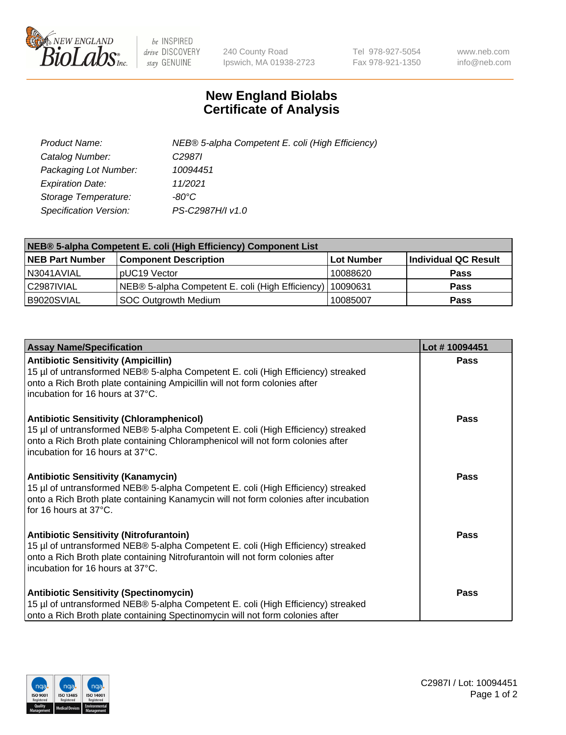

 $be$  INSPIRED drive DISCOVERY stay GENUINE

240 County Road Ipswich, MA 01938-2723 Tel 978-927-5054 Fax 978-921-1350 www.neb.com info@neb.com

## **New England Biolabs Certificate of Analysis**

| Product Name:           | NEB® 5-alpha Competent E. coli (High Efficiency) |
|-------------------------|--------------------------------------------------|
| Catalog Number:         | C <sub>2987</sub>                                |
| Packaging Lot Number:   | 10094451                                         |
| <b>Expiration Date:</b> | 11/2021                                          |
| Storage Temperature:    | -80°C.                                           |
| Specification Version:  | PS-C2987H/I v1.0                                 |

| NEB® 5-alpha Competent E. coli (High Efficiency) Component List |                                                  |            |                      |  |
|-----------------------------------------------------------------|--------------------------------------------------|------------|----------------------|--|
| <b>NEB Part Number</b>                                          | <b>Component Description</b>                     | Lot Number | Individual QC Result |  |
| N3041AVIAL                                                      | pUC19 Vector                                     | 10088620   | <b>Pass</b>          |  |
| C2987IVIAL                                                      | NEB® 5-alpha Competent E. coli (High Efficiency) | 10090631   | <b>Pass</b>          |  |
| B9020SVIAL                                                      | <b>SOC Outgrowth Medium</b>                      | 10085007   | <b>Pass</b>          |  |

| <b>Assay Name/Specification</b>                                                                                                                                                                                                                            | Lot #10094451 |
|------------------------------------------------------------------------------------------------------------------------------------------------------------------------------------------------------------------------------------------------------------|---------------|
| <b>Antibiotic Sensitivity (Ampicillin)</b><br>15 µl of untransformed NEB® 5-alpha Competent E. coli (High Efficiency) streaked<br>onto a Rich Broth plate containing Ampicillin will not form colonies after<br>incubation for 16 hours at 37°C.           | <b>Pass</b>   |
| <b>Antibiotic Sensitivity (Chloramphenicol)</b><br>15 µl of untransformed NEB® 5-alpha Competent E. coli (High Efficiency) streaked<br>onto a Rich Broth plate containing Chloramphenicol will not form colonies after<br>incubation for 16 hours at 37°C. | <b>Pass</b>   |
| <b>Antibiotic Sensitivity (Kanamycin)</b><br>15 µl of untransformed NEB® 5-alpha Competent E. coli (High Efficiency) streaked<br>onto a Rich Broth plate containing Kanamycin will not form colonies after incubation<br>for 16 hours at 37°C.             | Pass          |
| <b>Antibiotic Sensitivity (Nitrofurantoin)</b><br>15 µl of untransformed NEB® 5-alpha Competent E. coli (High Efficiency) streaked<br>onto a Rich Broth plate containing Nitrofurantoin will not form colonies after<br>incubation for 16 hours at 37°C.   | Pass          |
| <b>Antibiotic Sensitivity (Spectinomycin)</b><br>15 µl of untransformed NEB® 5-alpha Competent E. coli (High Efficiency) streaked<br>onto a Rich Broth plate containing Spectinomycin will not form colonies after                                         | Pass          |